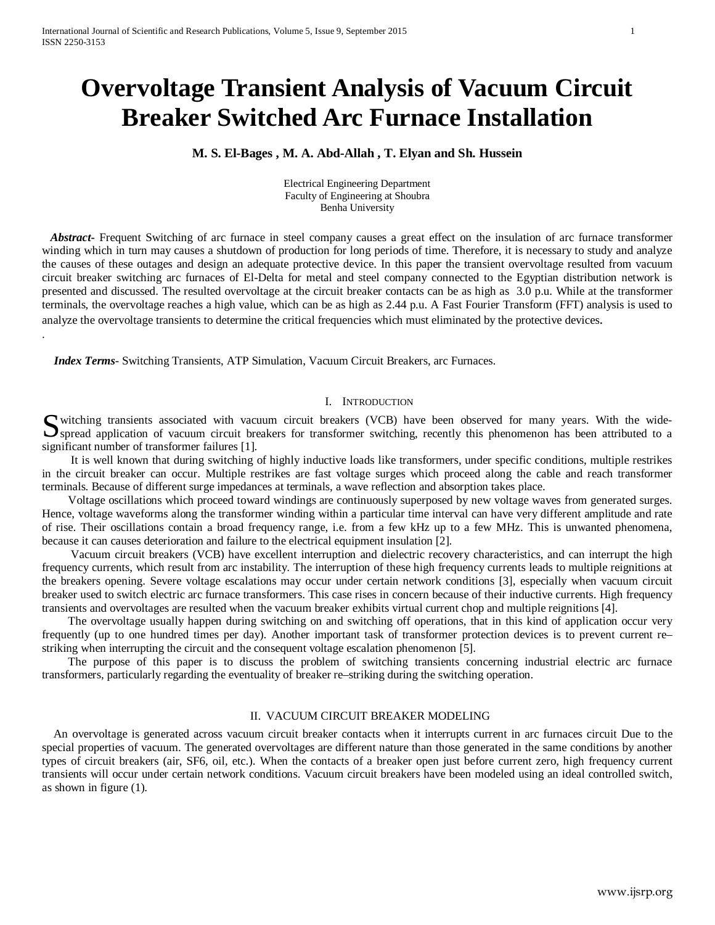# **Overvoltage Transient Analysis of Vacuum Circuit Breaker Switched Arc Furnace Installation**

## **M. S. El-Bages , M. A. Abd-Allah , T. Elyan and Sh. Hussein**

Electrical Engineering Department Faculty of Engineering at Shoubra Benha University

 *Abstract***-** Frequent Switching of arc furnace in steel company causes a great effect on the insulation of arc furnace transformer winding which in turn may causes a shutdown of production for long periods of time. Therefore, it is necessary to study and analyze the causes of these outages and design an adequate protective device. In this paper the transient overvoltage resulted from vacuum circuit breaker switching arc furnaces of El-Delta for metal and steel company connected to the Egyptian distribution network is presented and discussed. The resulted overvoltage at the circuit breaker contacts can be as high as 3.0 p.u. While at the transformer terminals, the overvoltage reaches a high value, which can be as high as 2.44 p.u. A Fast Fourier Transform (FFT) analysis is used to analyze the overvoltage transients to determine the critical frequencies which must eliminated by the protective devices. .

 *Index Terms*- Switching Transients, ATP Simulation, Vacuum Circuit Breakers, arc Furnaces.

#### I. INTRODUCTION

witching transients associated with vacuum circuit breakers (VCB) have been observed for many years. With the wide-Suite application of vacuum circuit breakers (VCB) have been observed for many years. With the wide-<br>Spread application of vacuum circuit breakers for transformer switching, recently this phenomenon has been attributed to significant number of transformer failures [1].

 It is well known that during switching of highly inductive loads like transformers, under specific conditions, multiple restrikes in the circuit breaker can occur. Multiple restrikes are fast voltage surges which proceed along the cable and reach transformer terminals. Because of different surge impedances at terminals, a wave reflection and absorption takes place.

 Voltage oscillations which proceed toward windings are continuously superposed by new voltage waves from generated surges. Hence, voltage waveforms along the transformer winding within a particular time interval can have very different amplitude and rate of rise. Their oscillations contain a broad frequency range, i.e. from a few kHz up to a few MHz. This is unwanted phenomena, because it can causes deterioration and failure to the electrical equipment insulation [2].

 Vacuum circuit breakers (VCB) have excellent interruption and dielectric recovery characteristics, and can interrupt the high frequency currents, which result from arc instability. The interruption of these high frequency currents leads to multiple reignitions at the breakers opening. Severe voltage escalations may occur under certain network conditions [3], especially when vacuum circuit breaker used to switch electric arc furnace transformers. This case rises in concern because of their inductive currents. High frequency transients and overvoltages are resulted when the vacuum breaker exhibits virtual current chop and multiple reignitions [4].

 The overvoltage usually happen during switching on and switching off operations, that in this kind of application occur very frequently (up to one hundred times per day). Another important task of transformer protection devices is to prevent current re– striking when interrupting the circuit and the consequent voltage escalation phenomenon [5].

 The purpose of this paper is to discuss the problem of switching transients concerning industrial electric arc furnace transformers, particularly regarding the eventuality of breaker re–striking during the switching operation.

## II. VACUUM CIRCUIT BREAKER MODELING

 An overvoltage is generated across vacuum circuit breaker contacts when it interrupts current in arc furnaces circuit Due to the special properties of vacuum. The generated overvoltages are different nature than those generated in the same conditions by another types of circuit breakers (air, SF6, oil, etc.). When the contacts of a breaker open just before current zero, high frequency current transients will occur under certain network conditions. Vacuum circuit breakers have been modeled using an ideal controlled switch, as shown in figure (1).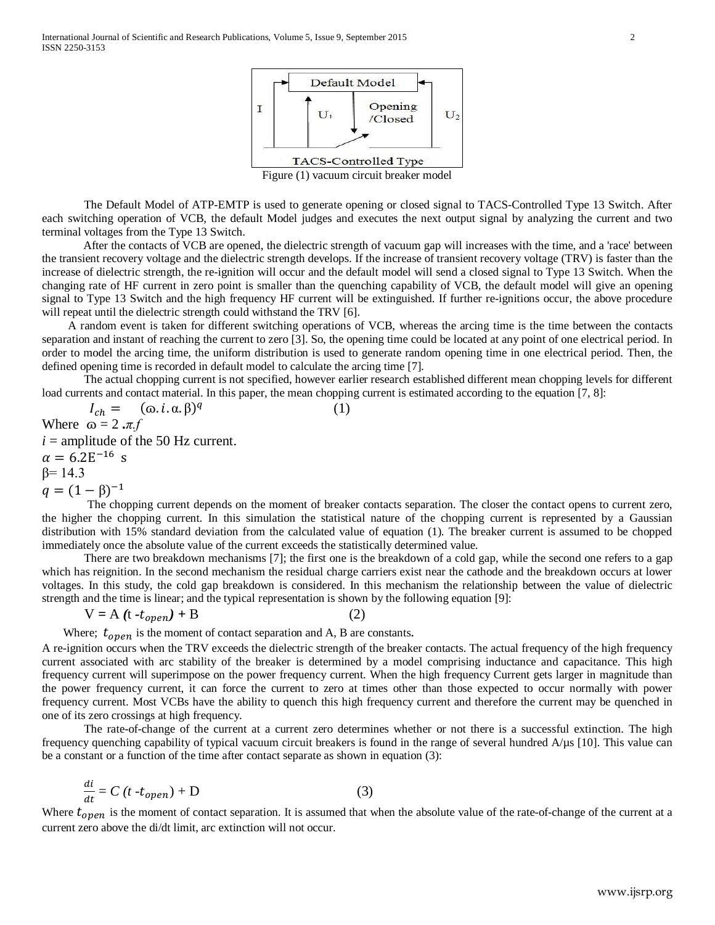

Figure (1) vacuum circuit breaker model

The Default Model of ATP-EMTP is used to generate opening or closed signal to TACS-Controlled Type 13 Switch. After each switching operation of VCB, the default Model judges and executes the next output signal by analyzing the current and two terminal voltages from the Type 13 Switch.

After the contacts of VCB are opened, the dielectric strength of vacuum gap will increases with the time, and a 'race' between the transient recovery voltage and the dielectric strength develops. If the increase of transient recovery voltage (TRV) is faster than the increase of dielectric strength, the re-ignition will occur and the default model will send a closed signal to Type 13 Switch. When the changing rate of HF current in zero point is smaller than the quenching capability of VCB, the default model will give an opening signal to Type 13 Switch and the high frequency HF current will be extinguished. If further re-ignitions occur, the above procedure will repeat until the dielectric strength could withstand the TRV [6].

 A random event is taken for different switching operations of VCB, whereas the arcing time is the time between the contacts separation and instant of reaching the current to zero [3]. So, the opening time could be located at any point of one electrical period. In order to model the arcing time, the uniform distribution is used to generate random opening time in one electrical period. Then, the defined opening time is recorded in default model to calculate the arcing time [7].

The actual chopping current is not specified, however earlier research established different mean chopping levels for different load currents and contact material. In this paper, the mean chopping current is estimated according to the equation [7, 8]:

 $I_{ch} = (\omega \cdot \mathbf{i} \cdot \mathbf{\alpha} \cdot \mathbf{\beta})^q$  (1) Where  $\omega = 2 \cdot \pi f$  $i =$  amplitude of the 50 Hz current.  $\alpha = 6.2E^{-16}$  s  $β= 14.3$ 

 $q = (1 - \beta)^{-1}$ <br>The chopping current depends on the moment of breaker contacts separation. The closer the contact opens to current zero, the higher the chopping current. In this simulation the statistical nature of the chopping current is represented by a Gaussian distribution with 15% standard deviation from the calculated value of equation (1). The breaker current is assumed to be chopped immediately once the absolute value of the current exceeds the statistically determined value.

There are two breakdown mechanisms [7]; the first one is the breakdown of a cold gap, while the second one refers to a gap which has reignition. In the second mechanism the residual charge carriers exist near the cathode and the breakdown occurs at lower voltages. In this study, the cold gap breakdown is considered. In this mechanism the relationship between the value of dielectric strength and the time is linear; and the typical representation is shown by the following equation [9]:

$$
V = A (t - t_{open}) + B
$$
 (2)

Where;  $t_{open}$  is the moment of contact separation and A, B are constants.

A re-ignition occurs when the TRV exceeds the dielectric strength of the breaker contacts. The actual frequency of the high frequency current associated with arc stability of the breaker is determined by a model comprising inductance and capacitance. This high frequency current will superimpose on the power frequency current. When the high frequency Current gets larger in magnitude than the power frequency current, it can force the current to zero at times other than those expected to occur normally with power frequency current. Most VCBs have the ability to quench this high frequency current and therefore the current may be quenched in one of its zero crossings at high frequency.

The rate-of-change of the current at a current zero determines whether or not there is a successful extinction. The high frequency quenching capability of typical vacuum circuit breakers is found in the range of several hundred A/µs [10]. This value can be a constant or a function of the time after contact separate as shown in equation (3):

$$
\frac{di}{dt} = C \left( t - t_{open} \right) + D \tag{3}
$$

Where  $t_{open}$  is the moment of contact separation. It is assumed that when the absolute value of the rate-of-change of the current at a current zero above the di/dt limit, arc extinction will not occur.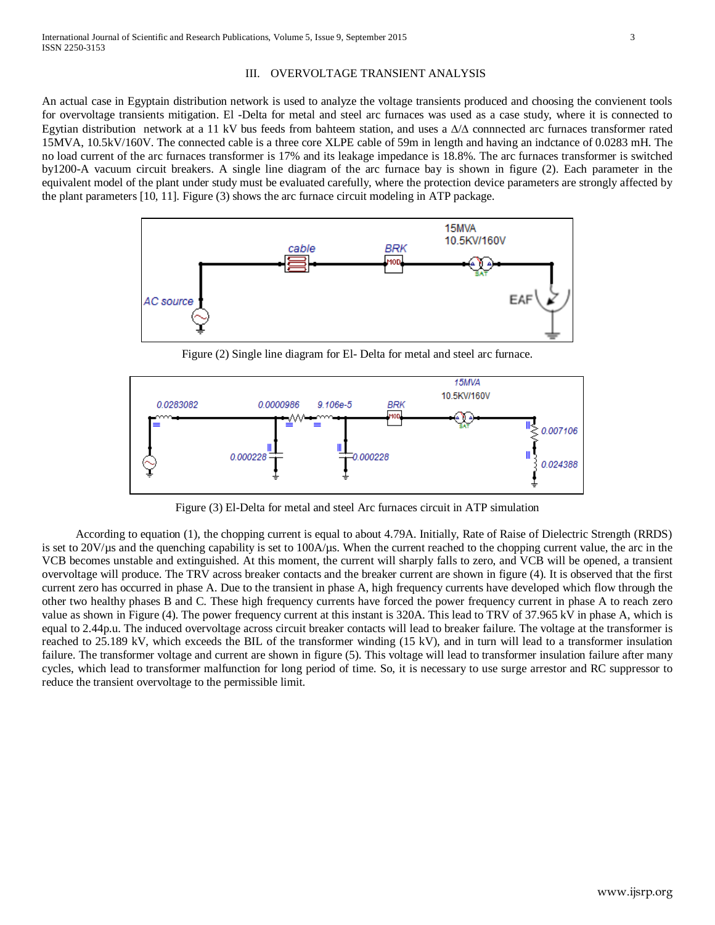### III. OVERVOLTAGE TRANSIENT ANALYSIS

An actual case in Egyptain distribution network is used to analyze the voltage transients produced and choosing the convienent tools for overvoltage transients mitigation. El -Delta for metal and steel arc furnaces was used as a case study, where it is connected to Egytian distribution network at a 11 kV bus feeds from bahteem station, and uses a ∆/∆ connnected arc furnaces transformer rated 15MVA, 10.5kV/160V. The connected cable is a three core XLPE cable of 59m in length and having an indctance of 0.0283 mH. The no load current of the arc furnaces transformer is 17% and its leakage impedance is 18.8%. The arc furnaces transformer is switched by1200-A vacuum circuit breakers. A single line diagram of the arc furnace bay is shown in figure (2). Each parameter in the equivalent model of the plant under study must be evaluated carefully, where the protection device parameters are strongly affected by the plant parameters [10, 11]. Figure (3) shows the arc furnace circuit modeling in ATP package.



Figure (2) Single line diagram for El- Delta for metal and steel arc furnace.



Figure (3) El-Delta for metal and steel Arc furnaces circuit in ATP simulation

According to equation (1), the chopping current is equal to about 4.79A. Initially, Rate of Raise of Dielectric Strength (RRDS) is set to  $20V/\mu s$  and the quenching capability is set to  $100A/\mu s$ . When the current reached to the chopping current value, the arc in the VCB becomes unstable and extinguished. At this moment, the current will sharply falls to zero, and VCB will be opened, a transient overvoltage will produce. The TRV across breaker contacts and the breaker current are shown in figure (4). It is observed that the first current zero has occurred in phase A. Due to the transient in phase A, high frequency currents have developed which flow through the other two healthy phases B and C. These high frequency currents have forced the power frequency current in phase A to reach zero value as shown in Figure (4). The power frequency current at this instant is 320A. This lead to TRV of 37.965 kV in phase A, which is equal to 2.44p.u. The induced overvoltage across circuit breaker contacts will lead to breaker failure. The voltage at the transformer is reached to 25.189 kV, which exceeds the BIL of the transformer winding (15 kV), and in turn will lead to a transformer insulation failure. The transformer voltage and current are shown in figure (5). This voltage will lead to transformer insulation failure after many cycles, which lead to transformer malfunction for long period of time. So, it is necessary to use surge arrestor and RC suppressor to reduce the transient overvoltage to the permissible limit.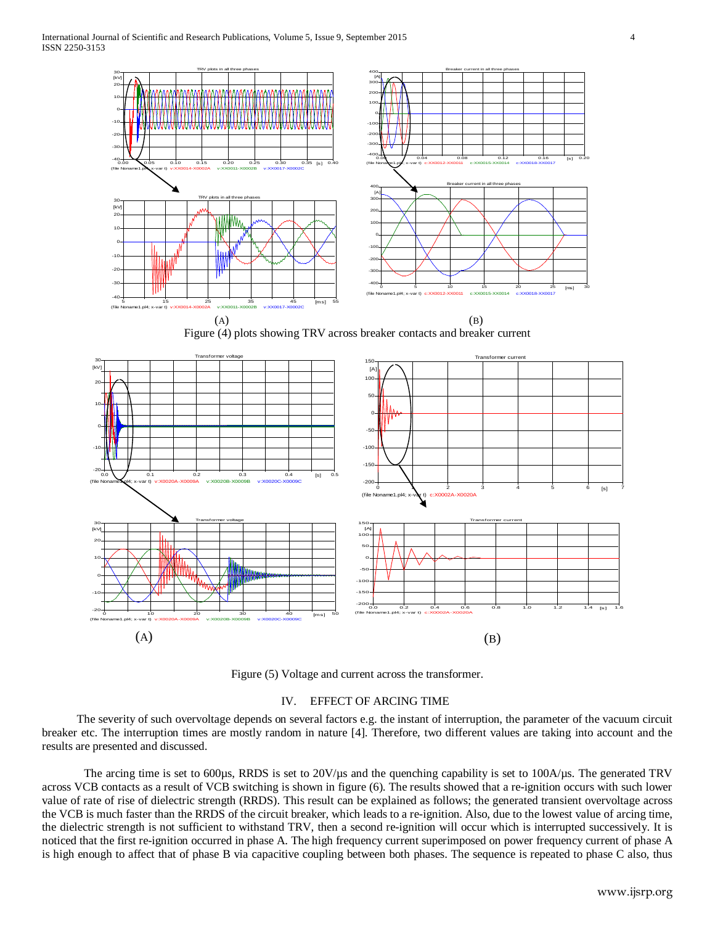

Figure (5) Voltage and current across the transformer.

## IV. EFFECT OF ARCING TIME

 The severity of such overvoltage depends on several factors e.g. the instant of interruption, the parameter of the vacuum circuit breaker etc. The interruption times are mostly random in nature [4]. Therefore, two different values are taking into account and the results are presented and discussed.

The arcing time is set to 600µs, RRDS is set to  $20V/\mu s$  and the quenching capability is set to  $100A/\mu s$ . The generated TRV across VCB contacts as a result of VCB switching is shown in figure (6). The results showed that a re-ignition occurs with such lower value of rate of rise of dielectric strength (RRDS). This result can be explained as follows; the generated transient overvoltage across the VCB is much faster than the RRDS of the circuit breaker, which leads to a re-ignition. Also, due to the lowest value of arcing time, the dielectric strength is not sufficient to withstand TRV, then a second re-ignition will occur which is interrupted successively. It is noticed that the first re-ignition occurred in phase A. The high frequency current superimposed on power frequency current of phase A is high enough to affect that of phase B via capacitive coupling between both phases. The sequence is repeated to phase C also, thus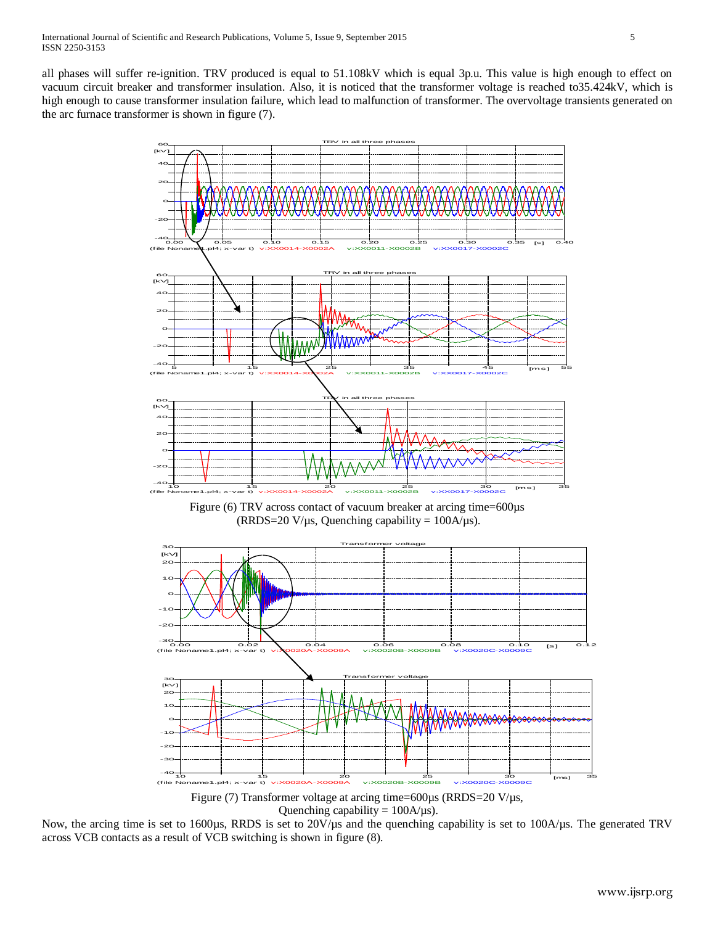all phases will suffer re-ignition. TRV produced is equal to 51.108kV which is equal 3p.u. This value is high enough to effect on vacuum circuit breaker and transformer insulation. Also, it is noticed that the transformer voltage is reached to35.424kV, which is high enough to cause transformer insulation failure, which lead to malfunction of transformer. The overvoltage transients generated on the arc furnace transformer is shown in figure (7).



Figure (7) Transformer voltage at arcing time=600µs (RRDS=20 V/µs, Quenching capability =  $100A/\mu s$ ).

Now, the arcing time is set to 1600µs, RRDS is set to 20V/µs and the quenching capability is set to 100A/µs. The generated TRV across VCB contacts as a result of VCB switching is shown in figure (8).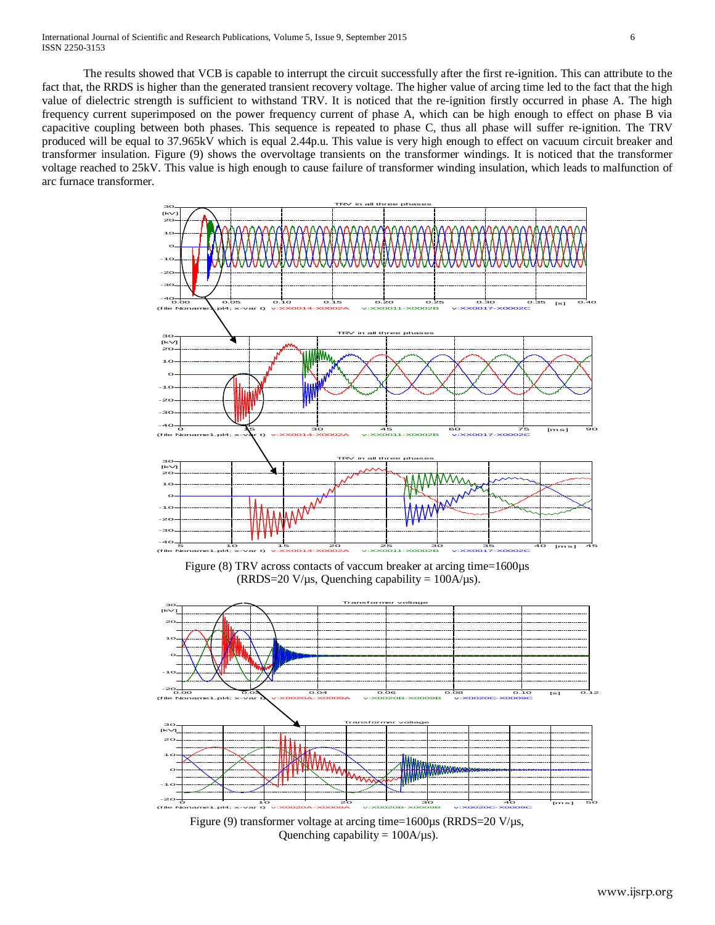The results showed that VCB is capable to interrupt the circuit successfully after the first re-ignition. This can attribute to the fact that, the RRDS is higher than the generated transient recovery voltage. The higher value of arcing time led to the fact that the high value of dielectric strength is sufficient to withstand TRV. It is noticed that the re-ignition firstly occurred in phase A. The high frequency current superimposed on the power frequency current of phase A, which can be high enough to effect on phase B via capacitive coupling between both phases. This sequence is repeated to phase C, thus all phase will suffer re-ignition. The TRV produced will be equal to 37.965kV which is equal 2.44p.u. This value is very high enough to effect on vacuum circuit breaker and transformer insulation. Figure (9) shows the overvoltage transients on the transformer windings. It is noticed that the transformer voltage reached to 25kV. This value is high enough to cause failure of transformer winding insulation, which leads to malfunction of arc furnace transformer.



Figure (8) TRV across contacts of vaccum breaker at arcing time=1600 $\mu$ s (RRDS=20 V/ $\mu$ s, Quenching capability = 100A/ $\mu$ s).



Figure (9) transformer voltage at arcing time=1600µs (RRDS=20 V/µs, Quenching capability =  $100A/\mu s$ ).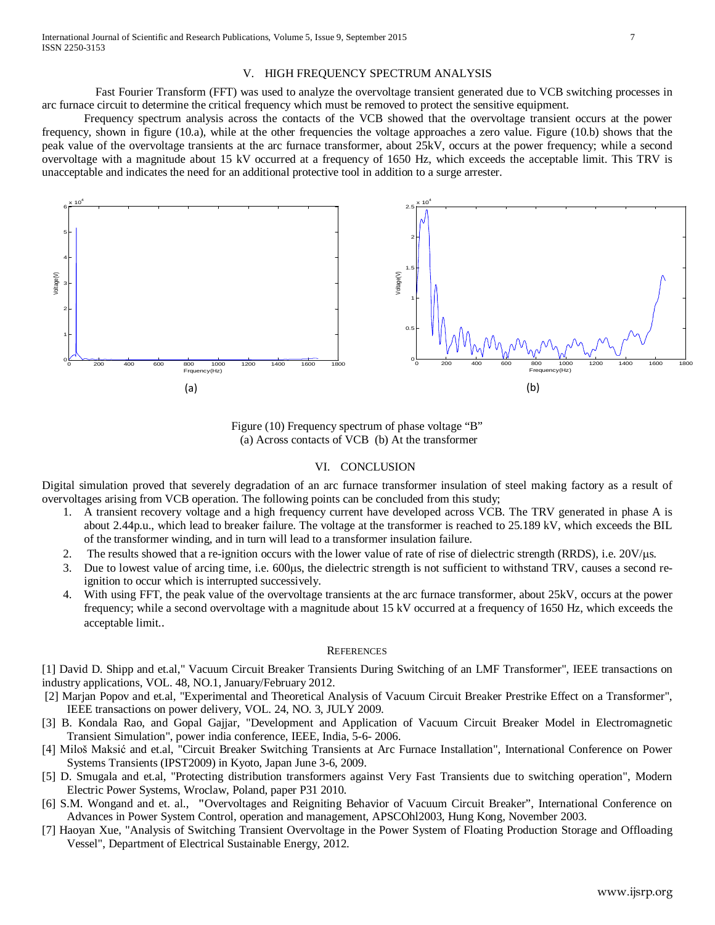### V. HIGH FREQUENCY SPECTRUM ANALYSIS

 Fast Fourier Transform (FFT) was used to analyze the overvoltage transient generated due to VCB switching processes in arc furnace circuit to determine the critical frequency which must be removed to protect the sensitive equipment.

Frequency spectrum analysis across the contacts of the VCB showed that the overvoltage transient occurs at the power frequency, shown in figure (10.a), while at the other frequencies the voltage approaches a zero value. Figure (10.b) shows that the peak value of the overvoltage transients at the arc furnace transformer, about 25kV, occurs at the power frequency; while a second overvoltage with a magnitude about 15 kV occurred at a frequency of 1650 Hz, which exceeds the acceptable limit. This TRV is unacceptable and indicates the need for an additional protective tool in addition to a surge arrester.



Figure (10) Frequency spectrum of phase voltage "B" (a) Across contacts of VCB (b) At the transformer

#### VI. CONCLUSION

Digital simulation proved that severely degradation of an arc furnace transformer insulation of steel making factory as a result of overvoltages arising from VCB operation. The following points can be concluded from this study;

- 1. A transient recovery voltage and a high frequency current have developed across VCB. The TRV generated in phase A is about 2.44p.u., which lead to breaker failure. The voltage at the transformer is reached to 25.189 kV, which exceeds the BIL of the transformer winding, and in turn will lead to a transformer insulation failure.
- 2. The results showed that a re-ignition occurs with the lower value of rate of rise of dielectric strength (RRDS), i.e. 20V/µs.
- 3. Due to lowest value of arcing time, i.e. 600µs, the dielectric strength is not sufficient to withstand TRV, causes a second reignition to occur which is interrupted successively.
- 4. With using FFT, the peak value of the overvoltage transients at the arc furnace transformer, about 25kV, occurs at the power frequency; while a second overvoltage with a magnitude about 15 kV occurred at a frequency of 1650 Hz, which exceeds the acceptable limit..

#### **REFERENCES**

[1] David D. Shipp and et.al," Vacuum Circuit Breaker Transients During Switching of an LMF Transformer", IEEE transactions on industry applications, VOL. 48, NO.1, January/February 2012.

- [2] Marjan Popov and et.al, "Experimental and Theoretical Analysis of Vacuum Circuit Breaker Prestrike Effect on a Transformer", IEEE transactions on power delivery, VOL. 24, NO. 3, JULY 2009.
- [3] B. Kondala Rao, and Gopal Gajjar, "Development and Application of Vacuum Circuit Breaker Model in Electromagnetic Transient Simulation", power india conference, IEEE, India, 5-6- 2006.
- [4] Miloš Maksić and et.al, "Circuit Breaker Switching Transients at Arc Furnace Installation", International Conference on Power Systems Transients (IPST2009) in Kyoto, Japan June 3-6, 2009.
- [5] D. Smugala and et.al, "Protecting distribution transformers against Very Fast Transients due to switching operation", Modern Electric Power Systems, Wroclaw, Poland, paper P31 2010.
- [6] S.M. Wongand and et. al., **"**Overvoltages and Reigniting Behavior of Vacuum Circuit Breaker", International Conference on Advances in Power System Control, operation and management, APSCOhl2003, Hung Kong, November 2003.
- [7] Haoyan Xue, "Analysis of Switching Transient Overvoltage in the Power System of Floating Production Storage and Offloading Vessel", Department of Electrical Sustainable Energy, 2012.